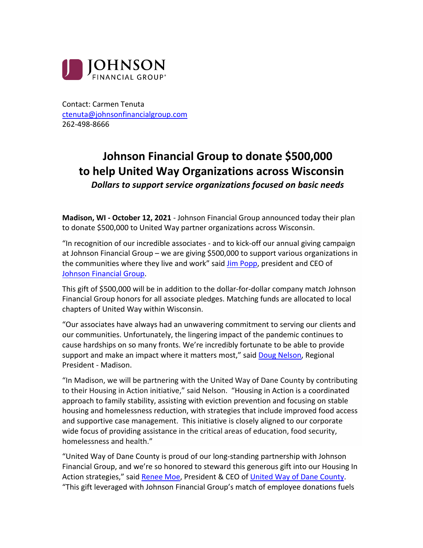

Contact: Carmen Tenuta ctenuta@johnsonfinancialgroup.com 262-498-8666

## **Johnson Financial Group to donate \$500,000 to help United Way Organizations across Wisconsin** *Dollars to support service organizations focused on basic needs*

**Madison, WI - October 12, 2021** - Johnson Financial Group announced today their plan to donate \$500,000 to United Way partner organizations across Wisconsin.

"In recognition of our incredible associates - and to kick-off our annual giving campaign at Johnson Financial Group – we are giving \$500,000 to support various organizations in the communities where they live and work" said Jim Popp, president and CEO of Johnson Financial Group.

This gift of \$500,000 will be in addition to the dollar-for-dollar company match Johnson Financial Group honors for all associate pledges. Matching funds are allocated to local chapters of United Way within Wisconsin.

"Our associates have always had an unwavering commitment to serving our clients and our communities. Unfortunately, the lingering impact of the pandemic continues to cause hardships on so many fronts. We're incredibly fortunate to be able to provide support and make an impact where it matters most," said Doug Nelson, Regional President - Madison.

"In Madison, we will be partnering with the United Way of Dane County by contributing to their Housing in Action initiative," said Nelson. "Housing in Action is a coordinated approach to family stability, assisting with eviction prevention and focusing on stable housing and homelessness reduction, with strategies that include improved food access and supportive case management. This initiative is closely aligned to our corporate wide focus of providing assistance in the critical areas of education, food security, homelessness and health."

"United Way of Dane County is proud of our long-standing partnership with Johnson Financial Group, and we're so honored to steward this generous gift into our Housing In Action strategies," said Renee Moe, President & CEO of United Way of Dane County. "This gift leveraged with Johnson Financial Group's match of employee donations fuels